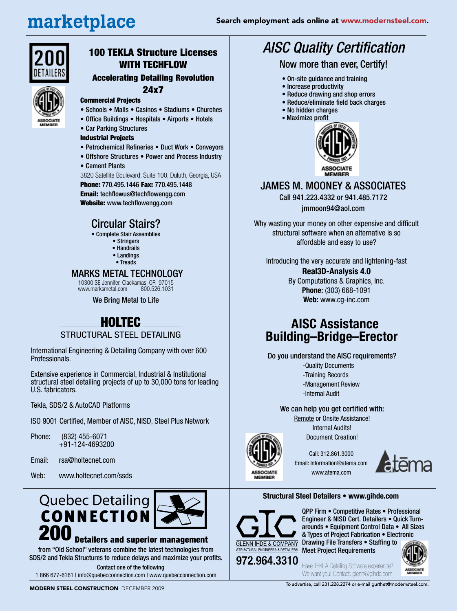*AISC Quality Certification*

Now more than ever, Certify!

• On-site guidance and training • Increase productivity

• No hidden charges

• Reduce drawing and shop errors • Reduce/eliminate field back charges

# marketplace



# 100 TEKLA Structure Licenses WITH TECHFLOW

# Accelerating Detailing Revolution

#### 24x7

- Commercial Projects • Schools • Malls • Casinos • Stadiums • Churches
- Office Buildings Hospitals Airports Hotels
- Car Parking Structures

#### Industrial Projects

- Petrochemical Refineries Duct Work Conveyors
- Offshore Structures Power and Process Industry
- Cement Plants

3820 Satellite Boulevard, Suite 100, Duluth, Georgia, USA

Phone: 770.495.1446 Fax: 770.495.1448 Email: techflowus@techflowengg.com Website: www.techflowengg.com

# Circular Stairs?

- Complete Stair Assemblies
	- Stringers
	- Handrails
	- Landings
	- Treads

#### MARKS METAL TECHNOLOGY

10300 SE Jennifer, Clackamas, OR 97015 www.marksmetal.com

We Bring Metal to Life

# HOLTEC

#### STRUCTURAL STEEL DETAILING

International Engineering & Detailing Company with over 600 Professionals.

Extensive experience in Commercial, Industrial & Institutional structural steel detailing projects of up to 30,000 tons for leading U.S. fabricators.

Tekla, SDS/2 & AutoCAD Platforms

ISO 9001 Certified, Member of AISC, NISD, Steel Plus Network

Phone: (832) 455-6071 +91-124-4693200

Email: rsa@holtecnet.com

Web: www.holtecnet.com/ssds



#### Detailers and superior management

from "Old School" veterans combine the latest technologies from SDS/2 and Tekla Structures to reduce delays and maximize your profits. Contact one of the following

1 866 677-6161 | info@quebecconnection.com | www.quebecconnection.com

### • Maximize profit



### JAMES M. MOONEY & ASSOCIATES

Call 941.223.4332 or 941.485.7172

jmmoon94@aol.com

Why wasting your money on other expensive and difficult structural software when an alternative is so affordable and easy to use?

Introducing the very accurate and lightening-fast

#### **Real3D-Analysis 4.0** By Computations & Graphics, Inc. **Phone:** (303) 668-1091 **Web:** www.cg-inc.com

# **AISC Assistance Building–Bridge–Erector**

Do you understand the AISC requirements?

- -Quality Documents
- -Training Records
- -Management Review
- -Internal Audit

We can help you get certified with:

Remote or Onsite Assistance! Internal Audits!

Document Creation!

Call: 312.861.3000 Email: Information@atema.com www.atema.com



#### **Structural Steel Detailers • www.gihde.com**



**ASSOCIATE**<br>MEMBER

QPP Firm • Competitive Rates • Professional Engineer & NISD Cert. Detailers • Quick Turnarounds • Equipment Control Data • All Sizes & Types of Project Fabrication • Electronic Drawing File Transfers • Staffing to Meet Project Requirements

Have TEKLA Detailing Software experience? We want you! Contact: glenn@gihde.com